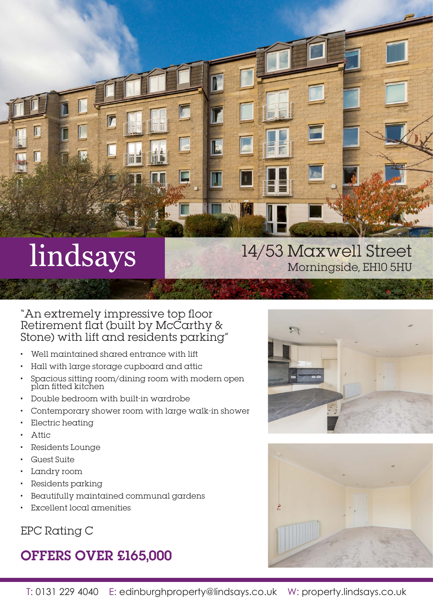

# 14/53 Maxwell Street Morningside, EH10 5HU

"An extremely impressive top floor Retirement flat (built by McCarthy & Stone) with lift and residents parking"

- Well maintained shared entrance with lift
- Hall with large storage cupboard and attic
- Spacious sitting room/dining room with modern open plan fitted kitchen
- Double bedroom with built-in wardrobe
- Contemporary shower room with large walk-in shower
- Electric heating
- Attic
- Residents Lounge
- Guest Suite
- Landry room
- Residents parking
- Beautifully maintained communal gardens
- Excellent local amenities

## EPC Rating C

# OFFERS OVER £165,000